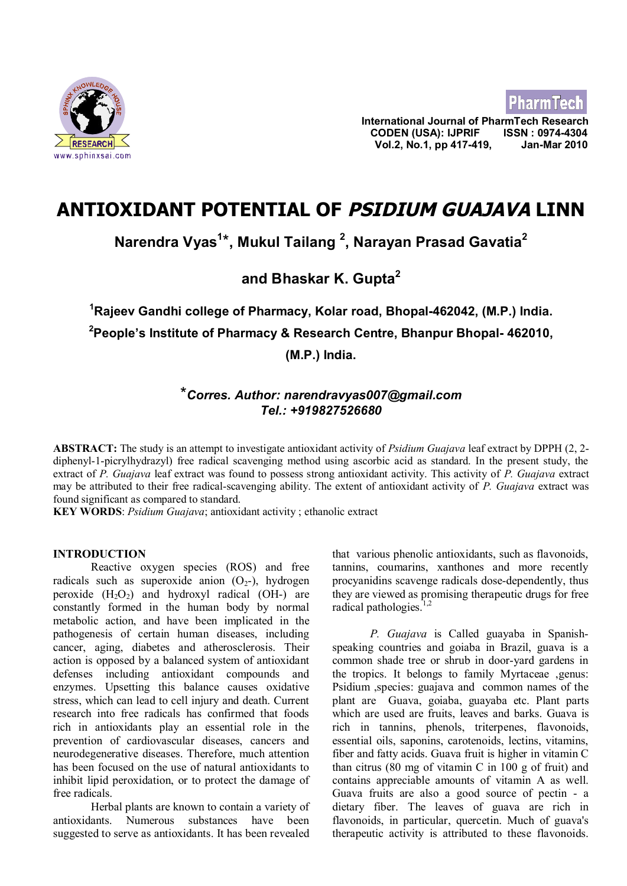

**International Journal of PharmTech Research CODEN (USA): IJPRIF ISSN : 0974-4304 Vol.2, No.1, pp 417-419, Jan-Mar 2010**

**PharmTech** 

# **ANTIOXIDANT POTENTIAL OF PSIDIUM GUAJAVA LINN**

**Narendra Vyas<sup>1</sup>** \***, Mukul Tailang <sup>2</sup> , Narayan Prasad Gavatia<sup>2</sup>**

**and Bhaskar K. Gupta<sup>2</sup>**

**<sup>1</sup>Rajeev Gandhi college of Pharmacy, Kolar road, Bhopal-462042, (M.P.) India. <sup>2</sup>People's Institute of Pharmacy & Research Centre, Bhanpur Bhopal- 462010, (M.P.) India.**

# \**Corres. Author: [narendravyas007@gmail.com](mailto:narendravyas007@gmail.com) Tel.: +919827526680*

**ABSTRACT:** The study is an attempt to investigate antioxidant activity of *Psidium Guajava* leaf extract by DPPH (2, 2 diphenyl-1-picrylhydrazyl) free radical scavenging method using ascorbic acid as standard. In the present study, the extract of *P. Guajava* leaf extract was found to possess strong antioxidant activity. This activity of *P. Guajava* extract may be attributed to their free radical-scavenging ability. The extent of antioxidant activity of *P. Guajava* extract was found significant as compared to standard.

**KEY WORDS**: *Psidium Guajava*; antioxidant activity ; ethanolic extract

# **INTRODUCTION**

Reactive oxygen species (ROS) and free radicals such as superoxide anion  $(O<sub>2</sub>-))$ , hydrogen peroxide  $(H_2O_2)$  and hydroxyl radical (OH-) are constantly formed in the human body by normal metabolic action, and have been implicated in the pathogenesis of certain human diseases, including cancer, aging, diabetes and atherosclerosis. Their action is opposed by a balanced system of antioxidant defenses including antioxidant compounds and enzymes. Upsetting this balance causes oxidative stress, which can lead to cell injury and death. Current research into free radicals has confirmed that foods rich in antioxidants play an essential role in the prevention of cardiovascular diseases, cancers and neurodegenerative diseases. Therefore, much attention has been focused on the use of natural antioxidants to inhibit lipid peroxidation, or to protect the damage of free radicals.

Herbal plants are known to contain a variety of antioxidants. Numerous substances have been suggested to serve as antioxidants. It has been revealed that various phenolic antioxidants, such as flavonoids, tannins, coumarins, xanthones and more recently procyanidins scavenge radicals dose-dependently, thus they are viewed as promising therapeutic drugs for free radical pathologies. $1,2$ 

*P. Guajava* is Called guayaba in Spanishspeaking countries and goiaba in Brazil, guava is a common shade tree or shrub in door-yard gardens in the tropics. It belongs to family Myrtaceae ,genus: Psidium ,species: guajava and common names of the plant are Guava, goiaba, guayaba etc. Plant parts which are used are fruits, leaves and barks. Guava is rich in tannins, phenols, triterpenes, flavonoids, essential oils, saponins, carotenoids, lectins, vitamins, fiber and fatty acids. Guava fruit is higher in vitamin C than citrus  $(80 \text{ mg of vitamin C in } 100 \text{ g of fruit})$  and contains appreciable amounts of vitamin A as well. Guava fruits are also a good source of pectin - a dietary fiber. The leaves of guava are rich in flavonoids, in particular, quercetin. Much of guava's therapeutic activity is attributed to these flavonoids.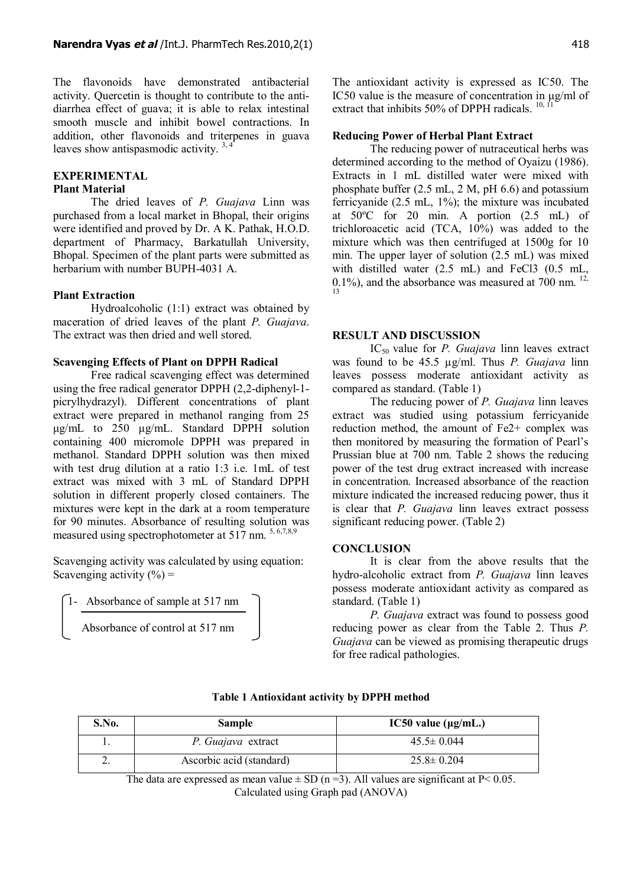The flavonoids have demonstrated antibacterial activity. Quercetin is thought to contribute to the antidiarrhea effect of guava; it is able to relax intestinal smooth muscle and inhibit bowel contractions. In addition, other flavonoids and triterpenes in guava leaves show antispasmodic activity.  $3,4$ 

#### **EXPERIMENTAL**

# **Plant Material**

The dried leaves of *P. Guajava* Linn was purchased from a local market in Bhopal, their origins were identified and proved by Dr. A K. Pathak, H.O.D. department of Pharmacy, Barkatullah University, Bhopal. Specimen of the plant parts were submitted as herbarium with number BUPH-4031 A.

#### **Plant Extraction**

Hydroalcoholic (1:1) extract was obtained by maceration of dried leaves of the plant *P. Guajava*. The extract was then dried and well stored.

# **Scavenging Effects of Plant on DPPH Radical**

Free radical scavenging effect was determined using the free radical generator DPPH (2,2-diphenyl-1 picrylhydrazyl). Different concentrations of plant extract were prepared in methanol ranging from 25 μg/mL to 250 μg/mL. Standard DPPH solution containing 400 micromole DPPH was prepared in methanol. Standard DPPH solution was then mixed with test drug dilution at a ratio 1:3 i.e. 1mL of test extract was mixed with 3 mL of Standard DPPH solution in different properly closed containers. The mixtures were kept in the dark at a room temperature for 90 minutes. Absorbance of resulting solution was measured using spectrophotometer at 517 nm.  $5, 6,7,8,9$ 

Scavenging activity was calculated by using equation: Scavenging activity  $(\% )$  =

1- Absorbance of sample at 517 nm

```
Absorbance of control at 517 nm
```
The antioxidant activity is expressed as IC50. The IC50 value is the measure of concentration in μg/ml of extract that inhibits 50% of DPPH radicals.  $10, 11$ 

#### **Reducing Power of Herbal Plant Extract**

The reducing power of nutraceutical herbs was determined according to the method of Oyaizu (1986). Extracts in 1 mL distilled water were mixed with phosphate buffer (2.5 mL, 2 M, pH 6.6) and potassium ferricyanide (2.5 mL, 1%); the mixture was incubated at 50ºC for 20 min. A portion (2.5 mL) of trichloroacetic acid (TCA, 10%) was added to the mixture which was then centrifuged at 1500g for 10 min. The upper layer of solution (2.5 mL) was mixed with distilled water (2.5 mL) and FeCl3 (0.5 mL,  $0.1\%$ ), and the absorbance was measured at 700 nm.  $^{12}$ , 13

# **RESULT AND DISCUSSION**

IC<sup>50</sup> value for *P. Guajava* linn leaves extract was found to be 45.5 µg/ml. Thus *P. Guajava* linn leaves possess moderate antioxidant activity as compared as standard. (Table 1)

The reducing power of *P. Guajava* linn leaves extract was studied using potassium ferricyanide reduction method, the amount of Fe2+ complex was then monitored by measuring the formation of Pearl's Prussian blue at 700 nm. Table 2 shows the reducing power of the test drug extract increased with increase in concentration. Increased absorbance of the reaction mixture indicated the increased reducing power, thus it is clear that *P. Guajava* linn leaves extract possess significant reducing power. (Table 2)

#### **CONCLUSION**

It is clear from the above results that the hydro-alcoholic extract from *P. Guajava* linn leaves possess moderate antioxidant activity as compared as standard. (Table 1)

*P. Guajava* extract was found to possess good reducing power as clear from the Table 2. Thus *P. Guajava* can be viewed as promising therapeutic drugs for free radical pathologies.

| S.No. | <b>Sample</b>            | IC50 value $(\mu g/mL.)$ |
|-------|--------------------------|--------------------------|
|       | P. Guajava extract       | $45.5 \pm 0.044$         |
| ,.    | Ascorbic acid (standard) | $25.8 \pm 0.204$         |

#### **Table 1 Antioxidant activity by DPPH method**

The data are expressed as mean value  $\pm$  SD (n = 3). All values are significant at P< 0.05. Calculated using Graph pad (ANOVA)